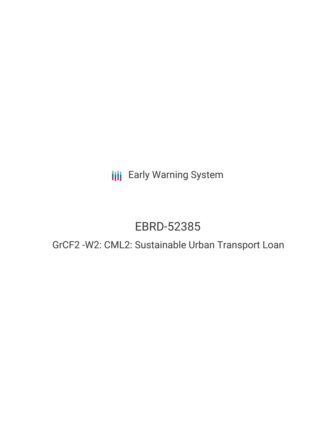**III** Early Warning System

# EBRD-52385

# GrCF2 -W2: CML2: Sustainable Urban Transport Loan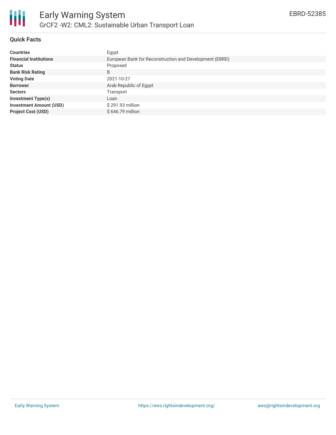

### **Quick Facts**

| <b>Countries</b>               | Egypt                                                   |
|--------------------------------|---------------------------------------------------------|
| <b>Financial Institutions</b>  | European Bank for Reconstruction and Development (EBRD) |
| <b>Status</b>                  | Proposed                                                |
| <b>Bank Risk Rating</b>        | B                                                       |
| <b>Voting Date</b>             | 2021-10-27                                              |
| <b>Borrower</b>                | Arab Republic of Egypt                                  |
| <b>Sectors</b>                 | Transport                                               |
| <b>Investment Type(s)</b>      | Loan                                                    |
| <b>Investment Amount (USD)</b> | \$291.93 million                                        |
| <b>Project Cost (USD)</b>      | \$646.79 million                                        |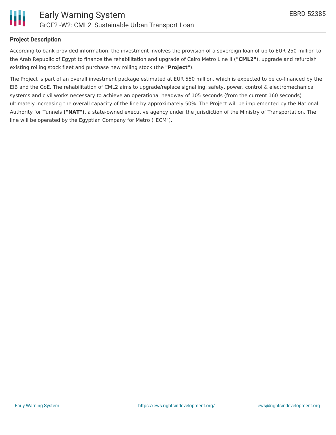# **Project Description**

According to bank provided information, the investment involves the provision of a sovereign loan of up to EUR 250 million to the Arab Republic of Egypt to finance the rehabilitation and upgrade of Cairo Metro Line II (**"CML2"**), upgrade and refurbish existing rolling stock fleet and purchase new rolling stock (the **"Project"**).

The Project is part of an overall investment package estimated at EUR 550 million, which is expected to be co-financed by the EIB and the GoE. The rehabilitation of CML2 aims to upgrade/replace signalling, safety, power, control & electromechanical systems and civil works necessary to achieve an operational headway of 105 seconds (from the current 160 seconds) ultimately increasing the overall capacity of the line by approximately 50%. The Project will be implemented by the National Authority for Tunnels **("NAT")**, a state-owned executive agency under the jurisdiction of the Ministry of Transportation. The line will be operated by the Egyptian Company for Metro ("ECM").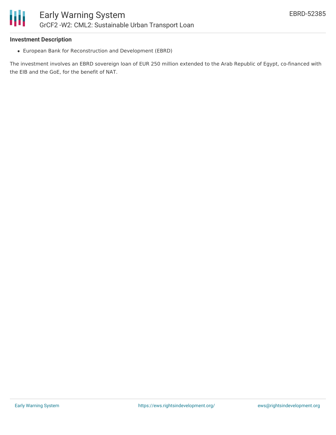#### **Investment Description**

Ш

European Bank for Reconstruction and Development (EBRD)

The investment involves an EBRD sovereign loan of EUR 250 million extended to the Arab Republic of Egypt, co-financed with the EIB and the GoE, for the benefit of NAT.